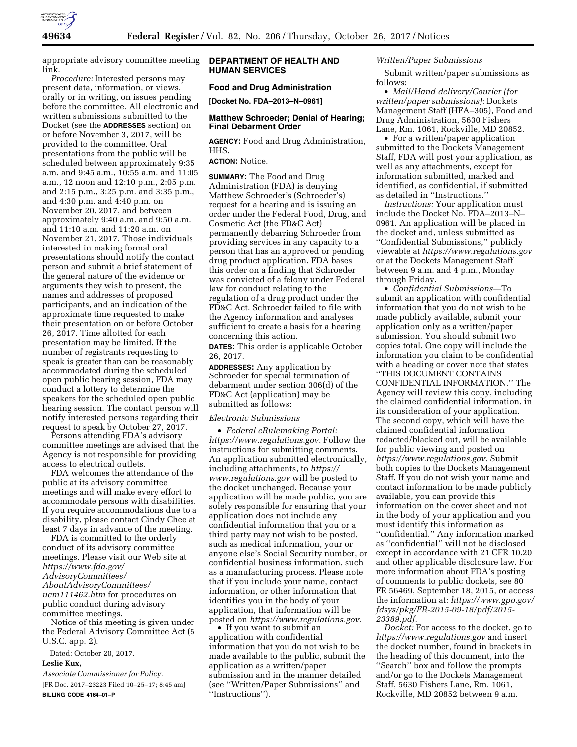

appropriate advisory committee meeting link.

*Procedure:* Interested persons may present data, information, or views, orally or in writing, on issues pending before the committee. All electronic and written submissions submitted to the Docket (see the **ADDRESSES** section) on or before November 3, 2017, will be provided to the committee. Oral presentations from the public will be scheduled between approximately 9:35 a.m. and 9:45 a.m., 10:55 a.m. and 11:05 a.m., 12 noon and 12:10 p.m., 2:05 p.m. and 2:15 p.m., 3:25 p.m. and 3:35 p.m., and 4:30 p.m. and 4:40 p.m. on November 20, 2017, and between approximately 9:40 a.m. and 9:50 a.m. and 11:10 a.m. and 11:20 a.m. on November 21, 2017. Those individuals interested in making formal oral presentations should notify the contact person and submit a brief statement of the general nature of the evidence or arguments they wish to present, the names and addresses of proposed participants, and an indication of the approximate time requested to make their presentation on or before October 26, 2017. Time allotted for each presentation may be limited. If the number of registrants requesting to speak is greater than can be reasonably accommodated during the scheduled open public hearing session, FDA may conduct a lottery to determine the speakers for the scheduled open public hearing session. The contact person will notify interested persons regarding their request to speak by October 27, 2017.

Persons attending FDA's advisory committee meetings are advised that the Agency is not responsible for providing access to electrical outlets.

FDA welcomes the attendance of the public at its advisory committee meetings and will make every effort to accommodate persons with disabilities. If you require accommodations due to a disability, please contact Cindy Chee at least 7 days in advance of the meeting.

FDA is committed to the orderly conduct of its advisory committee meetings. Please visit our Web site at *[https://www.fda.gov/](https://www.fda.gov/AdvisoryCommittees/AboutAdvisoryCommittees/ucm111462.htm) [AdvisoryCommittees/](https://www.fda.gov/AdvisoryCommittees/AboutAdvisoryCommittees/ucm111462.htm) [AboutAdvisoryCommittees/](https://www.fda.gov/AdvisoryCommittees/AboutAdvisoryCommittees/ucm111462.htm)  [ucm111462.htm](https://www.fda.gov/AdvisoryCommittees/AboutAdvisoryCommittees/ucm111462.htm)* for procedures on public conduct during advisory committee meetings. Notice of this meeting is given under

the Federal Advisory Committee Act (5 U.S.C. app. 2).

Dated: October 20, 2017.

#### **Leslie Kux,**

*Associate Commissioner for Policy.*  [FR Doc. 2017–23223 Filed 10–25–17; 8:45 am] **BILLING CODE 4164–01–P** 

# **DEPARTMENT OF HEALTH AND HUMAN SERVICES**

## **Food and Drug Administration**

**[Docket No. FDA–2013–N–0961]** 

## **Matthew Schroeder; Denial of Hearing; Final Debarment Order**

**AGENCY:** Food and Drug Administration, HHS.

**ACTION:** Notice.

**SUMMARY:** The Food and Drug Administration (FDA) is denying Matthew Schroeder's (Schroeder's) request for a hearing and is issuing an order under the Federal Food, Drug, and Cosmetic Act (the FD&C Act) permanently debarring Schroeder from providing services in any capacity to a person that has an approved or pending drug product application. FDA bases this order on a finding that Schroeder was convicted of a felony under Federal law for conduct relating to the regulation of a drug product under the FD&C Act. Schroeder failed to file with the Agency information and analyses sufficient to create a basis for a hearing concerning this action.

**DATES:** This order is applicable October 26, 2017.

**ADDRESSES:** Any application by Schroeder for special termination of debarment under section 306(d) of the FD&C Act (application) may be submitted as follows:

### *Electronic Submissions*

• *Federal eRulemaking Portal: [https://www.regulations.gov.](https://www.regulations.gov)* Follow the instructions for submitting comments. An application submitted electronically, including attachments, to *[https://](https://www.regulations.gov) [www.regulations.gov](https://www.regulations.gov)* will be posted to the docket unchanged. Because your application will be made public, you are solely responsible for ensuring that your application does not include any confidential information that you or a third party may not wish to be posted, such as medical information, your or anyone else's Social Security number, or confidential business information, such as a manufacturing process. Please note that if you include your name, contact information, or other information that identifies you in the body of your application, that information will be posted on *[https://www.regulations.gov.](https://www.regulations.gov)* 

• If you want to submit an application with confidential information that you do not wish to be made available to the public, submit the application as a written/paper submission and in the manner detailed (see ''Written/Paper Submissions'' and ''Instructions'').

## *Written/Paper Submissions*

Submit written/paper submissions as follows:

• *Mail/Hand delivery/Courier (for written/paper submissions):* Dockets Management Staff (HFA–305), Food and Drug Administration, 5630 Fishers Lane, Rm. 1061, Rockville, MD 20852.

• For a written/paper application submitted to the Dockets Management Staff, FDA will post your application, as well as any attachments, except for information submitted, marked and identified, as confidential, if submitted as detailed in ''Instructions.''

*Instructions:* Your application must include the Docket No. FDA–2013–N– 0961. An application will be placed in the docket and, unless submitted as ''Confidential Submissions,'' publicly viewable at *<https://www.regulations.gov>* or at the Dockets Management Staff between 9 a.m. and 4 p.m., Monday through Friday.

• *Confidential Submissions*—To submit an application with confidential information that you do not wish to be made publicly available, submit your application only as a written/paper submission. You should submit two copies total. One copy will include the information you claim to be confidential with a heading or cover note that states ''THIS DOCUMENT CONTAINS CONFIDENTIAL INFORMATION.'' The Agency will review this copy, including the claimed confidential information, in its consideration of your application. The second copy, which will have the claimed confidential information redacted/blacked out, will be available for public viewing and posted on *[https://www.regulations.gov.](https://www.regulations.gov)* Submit both copies to the Dockets Management Staff. If you do not wish your name and contact information to be made publicly available, you can provide this information on the cover sheet and not in the body of your application and you must identify this information as ''confidential.'' Any information marked as ''confidential'' will not be disclosed except in accordance with 21 CFR 10.20 and other applicable disclosure law. For more information about FDA's posting of comments to public dockets, see 80 FR 56469, September 18, 2015, or access the information at: *[https://www.gpo.gov/](https://www.gpo.gov/fdsys/pkg/FR-2015-09-18/pdf/2015-23389.pdf) [fdsys/pkg/FR-2015-09-18/pdf/2015-](https://www.gpo.gov/fdsys/pkg/FR-2015-09-18/pdf/2015-23389.pdf)  [23389.pdf.](https://www.gpo.gov/fdsys/pkg/FR-2015-09-18/pdf/2015-23389.pdf)* 

*Docket:* For access to the docket, go to *<https://www.regulations.gov>* and insert the docket number, found in brackets in the heading of this document, into the ''Search'' box and follow the prompts and/or go to the Dockets Management Staff, 5630 Fishers Lane, Rm. 1061, Rockville, MD 20852 between 9 a.m.